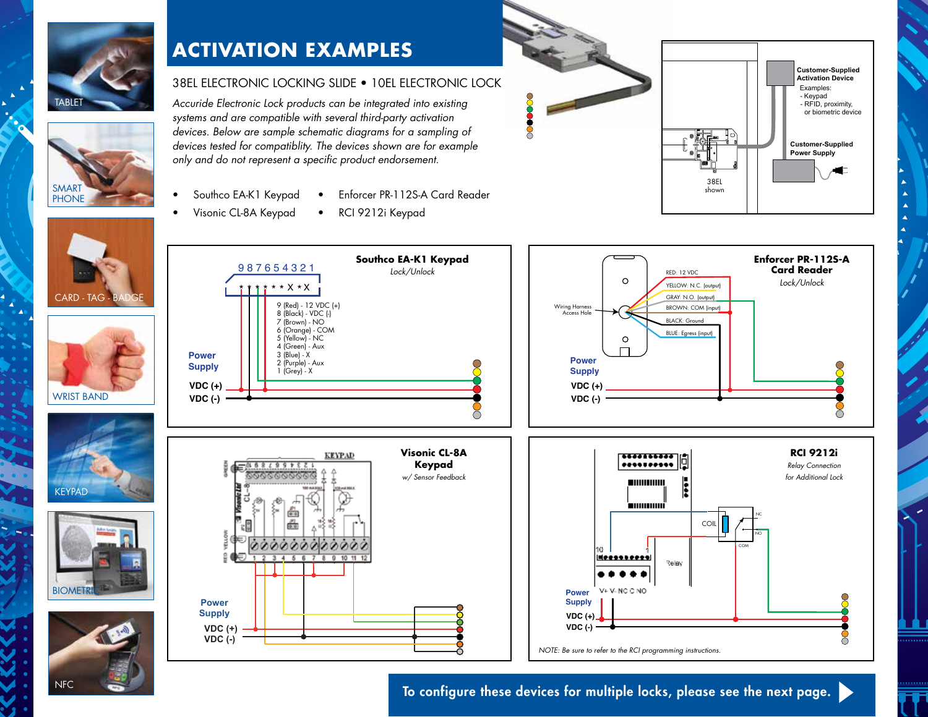

## **ACTIVATION EXAMPLES**

## 38EL ELECTRONIC LOCKING SLIDE • 10EL ELECTRONIC LOCK

• Enforcer PR-112S-A Card Reader

• RCI 9212i Keypad

*Accuride Electronic Lock products can be integrated into existing systems and are compatible with several third-party activation devices. Below are sample schematic diagrams for a sampling of devices tested for compatiblity. The devices shown are for example only and do not represent a specific product endorsement.*

- Southco EA-K1 Keypad
- Visonic CL-8A Keypad





To configure these devices for multiple locks, please see the next page.





WRIST BAND

 $C$ ARD TA $C$ 

SMAR<sup>T</sup> **PHONE**